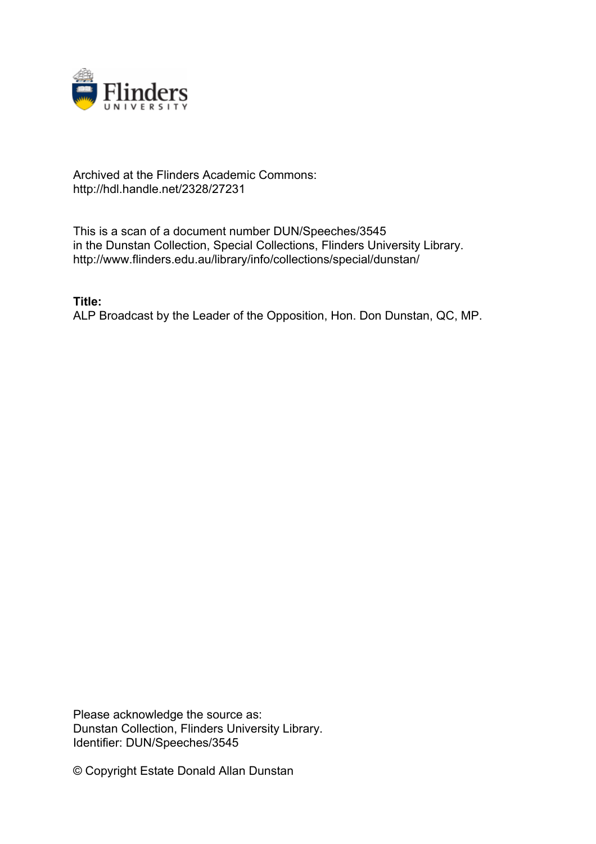

## Archived at the Flinders Academic Commons: http://hdl.handle.net/2328/27231

This is a scan of a document number DUN/Speeches/3545 in the Dunstan Collection, Special Collections, Flinders University Library. http://www.flinders.edu.au/library/info/collections/special/dunstan/

**Title:** ALP Broadcast by the Leader of the Opposition, Hon. Don Dunstan, QC, MP.

Please acknowledge the source as: Dunstan Collection, Flinders University Library. Identifier: DUN/Speeches/3545

© Copyright Estate Donald Allan Dunstan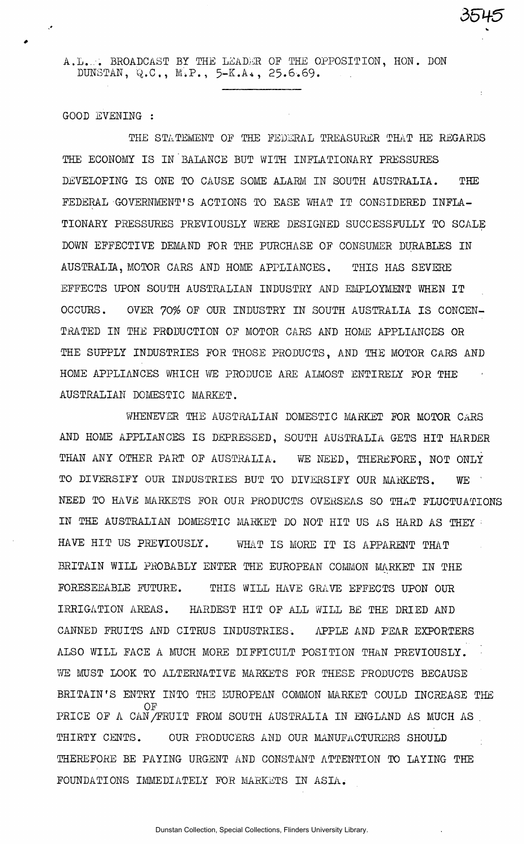A.L.,-. BROADCAST BY THE LEADER OF THE OPPOSITION, HON. DON DUNSTAN, Q.C., M.P., 5-K.A., 25.6.69.

*5UH-5* 

GOOD EVENING :

THE STATEMENT OF THE FEDERAL TREASURER THAT HE REGARDS THE ECONOMY IS IN BALANCE BUT WITH INFLATIONARY PRESSURES DEVELOPING IS ONE TO CAUSE SOME ALARM IN SOUTH AUSTRALIA. THE FEDERAL GOVERNMENT'S ACTIONS TO EASE WHAT IT CONSIDERED INFLA-TIONARY PRESSURES PREVIOUSLY WERE DESIGNED SUCCESSFULLY TO SCALE DOWN EFFECTIVE DEMAND FOR THE PURCHASE OF CONSUMER DURABLES IN AUSTRALIA, MOTOR CARS AND HOME APPLIANCES. THIS HAS SEVERE EFFECTS UPON SOUTH AUSTRALIAN INDUSTRY AND EMPLOYMENT WHEN IT OCCURS. OVER 70% OF OUR INDUSTRY IN SOUTH AUSTRALIA IS CONCEN-TRATED IN THE PRODUCTION OF MOTOR CARS AND HOME APPLIANCES OR THE SUPPLY INDUSTRIES FOR THOSE PRODUCTS, AND THE MOTOR CARS AND HOME APPLIANCES WHICH WE PRODUCE ARE ALMOST ENTIRELY FOR THE AUSTRALIAN DOMESTIC MARKET.

WHENEVER THE AUSTRALIAN DOMESTIC MARKET FOR MOTOR CARS AND HOME APPLIANCES IS DEPRESSED, SOUTH AUSTRALIA GETS HIT HARDER THAN ANY OTHER PART OF AUSTRALIA. WE NEED, THEREFORE, NOT ONLY TO DIVERSIFY OUR INDUSTRIES BUT TO DIVERSIFY OUR MARKETS. WE ' NEED TO HAVE MARKETS FOR OUR PRODUCTS OVERSEAS SO THAT FLUCTUATIONS IN THE AUSTRALIAN DOMESTIC MARKET DO NOT HIT US AS HARD AS THEY HAVE HIT US PREVIOUSLY. WHAT IS MORE IT IS APPARENT THAT BRITAIN WILL PROBABLY ENTER THE EUROPEAN COMMON MARKET IN THE FORESEEABLE FUTURE. THIS WILL HAVE GRAVE EFFECTS UPON OUR IRRIGATION AREAS. HARDEST HIT OF ALL WILL BE THE DRIED AND CANNED FRUITS AND CITRUS INDUSTRIES. APPLE AND PEAR EXPORTERS ALSO WILL FACE A MUCH MORE DIFFICULT POSITION THAN PREVIOUSLY. WE MUST LOOK TO ALTERNATIVE MARKETS FOR THESE PRODUCTS BECAUSE BRITAIN'S ENTRY INTO THE EUROPEAN COMMON MARKET COULD INCREASE THE PRICE OF A CAN/FRUIT FROM SOUTH AUSTRALIA IN ENGLAND AS MUCH AS PRICE OF A CAN/FRUIT FROM SOUTH AUSTRALIA IN ENGLAND AS MUCH AS . Thirty Cents. Our producers and our product  $\mathcal{L}_\text{max}$  and  $\mathcal{L}_\text{max}$  and  $\mathcal{L}_\text{max}$ THEREFORE BE PAYING URGENT AND CONSTANT AT THE PAYING URGENT AND CONSTANT AT THE UNIT ON THE UNIT ON THE UNIT FOUNDATIONS IMMEDIATELY FOR MARKETS IN ASIA.

Dunstan Collection, Special Collections, Flinders University Library.